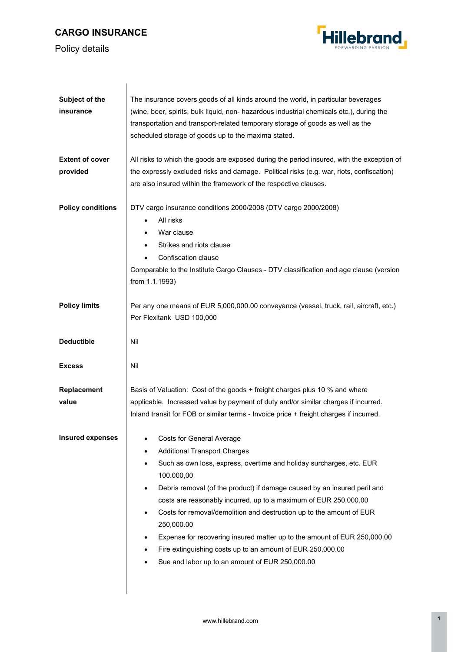## **CARGO INSURANCE**

 $\overline{\phantom{a}}$ 





| Subject of the           | The insurance covers goods of all kinds around the world, in particular beverages                                                                        |
|--------------------------|----------------------------------------------------------------------------------------------------------------------------------------------------------|
| insurance                | (wine, beer, spirits, bulk liquid, non- hazardous industrial chemicals etc.), during the                                                                 |
|                          | transportation and transport-related temporary storage of goods as well as the                                                                           |
|                          | scheduled storage of goods up to the maxima stated.                                                                                                      |
| <b>Extent of cover</b>   | All risks to which the goods are exposed during the period insured, with the exception of                                                                |
| provided                 | the expressly excluded risks and damage. Political risks (e.g. war, riots, confiscation)                                                                 |
|                          | are also insured within the framework of the respective clauses.                                                                                         |
| <b>Policy conditions</b> | DTV cargo insurance conditions 2000/2008 (DTV cargo 2000/2008)                                                                                           |
|                          | All risks                                                                                                                                                |
|                          | War clause                                                                                                                                               |
|                          | Strikes and riots clause<br>$\bullet$                                                                                                                    |
|                          | Confiscation clause                                                                                                                                      |
|                          | Comparable to the Institute Cargo Clauses - DTV classification and age clause (version                                                                   |
|                          | from 1.1.1993)                                                                                                                                           |
| <b>Policy limits</b>     | Per any one means of EUR 5,000,000.00 conveyance (vessel, truck, rail, aircraft, etc.)                                                                   |
|                          | Per Flexitank USD 100,000                                                                                                                                |
| <b>Deductible</b>        | Nil                                                                                                                                                      |
|                          |                                                                                                                                                          |
| <b>Excess</b>            | Nil                                                                                                                                                      |
| Replacement              | Basis of Valuation: Cost of the goods + freight charges plus 10 % and where                                                                              |
| value                    | applicable. Increased value by payment of duty and/or similar charges if incurred.                                                                       |
|                          | Inland transit for FOB or similar terms - Invoice price + freight charges if incurred.                                                                   |
| <b>Insured expenses</b>  | Costs for General Average                                                                                                                                |
|                          | <b>Additional Transport Charges</b><br>٠                                                                                                                 |
|                          | Such as own loss, express, overtime and holiday surcharges, etc. EUR<br>$\bullet$<br>100.000,00                                                          |
|                          | Debris removal (of the product) if damage caused by an insured peril and<br>$\bullet$                                                                    |
|                          | costs are reasonably incurred, up to a maximum of EUR 250,000.00                                                                                         |
|                          | Costs for removal/demolition and destruction up to the amount of EUR<br>$\bullet$                                                                        |
|                          | 250,000.00                                                                                                                                               |
|                          | Expense for recovering insured matter up to the amount of EUR 250,000.00<br>٠<br>Fire extinguishing costs up to an amount of EUR 250,000.00<br>$\bullet$ |
|                          | Sue and labor up to an amount of EUR 250,000.00<br>$\bullet$                                                                                             |
|                          |                                                                                                                                                          |
|                          |                                                                                                                                                          |